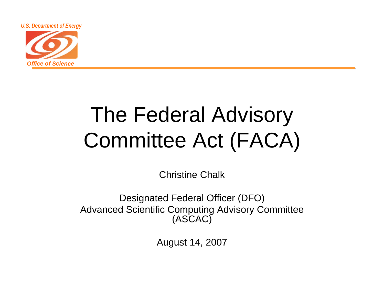

## The Federal Advisory Committee Act (FACA)

Christine Chalk

Designated Federal Officer (DFO) Advanced Scientific Computing Advisory Committee (ASCAC)

August 14, 2007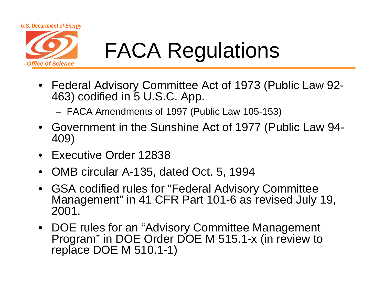

# FACA Regulations

- Federal Advisory Committee Act of 1973 (Public Law 92- 463) codified in 5 U.S.C. App.
	- FACA Amendments of 1997 (Public Law 105-153)
- Government in the Sunshine Act of 1977 (Public Law 94- 409)
- •Executive Order 12838
- •OMB circular A-135, dated Oct. 5, 1994
- GSA codified rules for "Federal Advisory Committee Management" in 41 CFR Part 101-6 as revised July 19, 2001.
- DOE rules for an "Advisory Committee Management Program" in DOE Order DOE M 515.1-x (in review to replace DOE M 510.1-1)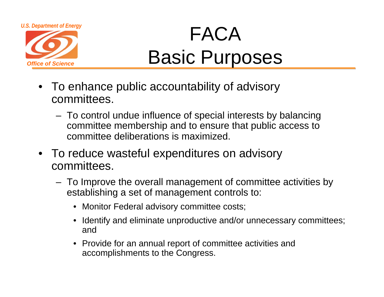

### *U.S. Department of Energy* FACA Basic Purposes

- To enhance public accountability of advisory committees.
	- To control undue influence of special interests by balancing committee membership and to ensure that public access to committee deliberations is maximized.
- To reduce wasteful expenditures on advisory committees.
	- To Improve the overall management of committee activities by establishing a set of management controls to:
		- Monitor Federal advisory committee costs;
		- Identify and eliminate unproductive and/or unnecessary committees; and
		- Provide for an annual report of committee activities and accomplishments to the Congress.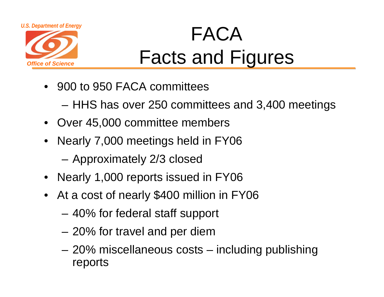



### *U.S. Department of Energy* FACA Facts and Figures

- 900 to 950 FACA committees
	- HHS has over 250 committees and 3,400 meetings
- Over 45,000 committee members
- Nearly 7,000 meetings held in FY06
	- Approximately 2/3 closed
- Nearly 1,000 reports issued in FY06
- At a cost of nearly \$400 million in FY06
	- 40% for federal staff support
	- –20% for travel and per diem
	- – 20% miscellaneous costs – including publishing reports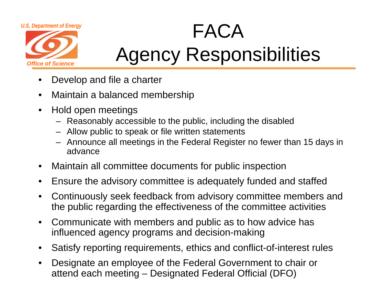

### *U.S. Department of Energy* Agency Responsibilities

- $\bullet$ Develop and file a charter
- $\bullet$ Maintain a balanced membership
- $\bullet$  Hold open meetings
	- Reasonably accessible to the public, including the disabled
	- Allow public to speak or file written statements
	- Announce all meetings in the Federal Register no fewer than 15 days in advance
- •Maintain all committee documents for public inspection
- •Ensure the advisory committee is adequately funded and staffed
- $\bullet$  Continuously seek feedback from advisory committee members and the public regarding the effectiveness of the committee activities
- $\bullet$  Communicate with members and public as to how advice has influenced agency programs and decision-making
- $\bullet$ Satisfy reporting requirements, ethics and conflict-of-interest rules
- • Designate an employee of the Federal Government to chair or attend each meeting – Designated Federal Official (DFO)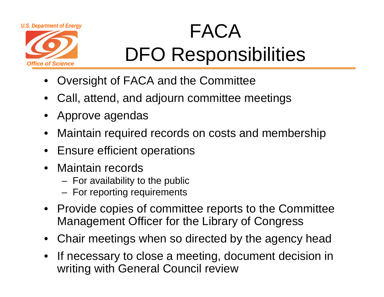

### *U.S. Department of Energy* FACA DFO Responsibilities

- •Oversight of FACA and the Committee
- Call, attend, and adjourn committee meetings
- Approve agendas
- Maintain required records on costs and membership
- Ensure efficient operations
- Maintain records
	- For availability to the public
	- For reporting requirements
- Provide copies of committee reports to the Committee Management Officer for the Library of Congress
- Chair meetings when so directed by the agency head
- • If necessary to close a meeting, document decision in writing with General Council review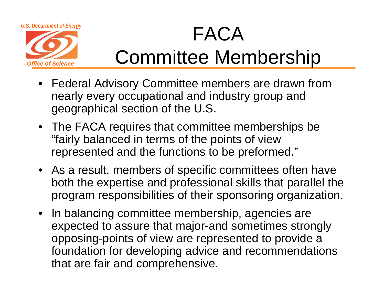

### *U.S. Department of Energy* FACA Committee Membership

- Federal Advisory Committee members are drawn from nearly every occupational and industry group and geographical section of the U.S.
- The FACA requires that committee memberships be "fairly balanced in terms of the points of view represented and the functions to be preformed."
- As a result, members of specific committees often have both the expertise and professional skills that parallel the program responsibilities of their sponsoring organization.
- In balancing committee membership, agencies are expected to assure that major-and sometimes strongly opposing-points of view are represented to provide a foundation for developing advice and recommendations that are fair and comprehensive.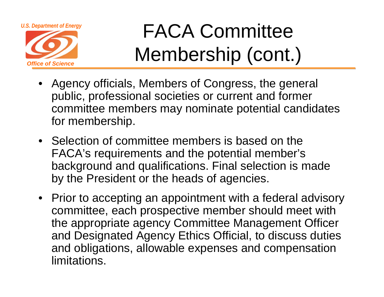

*Office of Science*

U.S. Department of Energy FACA Committee Membership (cont.)

- Agency officials, Members of Congress, the general public, professional societies or current and former committee members may nominate potential candidates for membership.
- Selection of committee members is based on the FACA's requirements and the potential member's background and qualifications. Final selection is made by the President or the heads of agencies.
- Prior to accepting an appointment with a federal advisory committee, each prospective member should meet with the appropriate agency Committee Management Officer and Designated Agency Ethics Official, to discuss duties and obligations, allowable expenses and compensation limitations.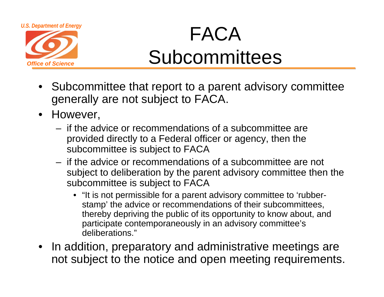

### *U.S. Department of Energy* FACA **Subcommittees**

- Subcommittee that report to a parent advisory committee generally are not subject to FACA.
- However,
	- if the advice or recommendations of a subcommittee are provided directly to a Federal officer or agency, then the subcommittee is subject to FACA
	- if the advice or recommendations of a subcommittee are not subject to deliberation by the parent advisory committee then the subcommittee is subject to FACA
		- "It is not permissible for a parent advisory committee to 'rubberstamp' the advice or recommendations of their subcommittees, thereby depriving the public of its opportunity to know about, and participate contemporaneously in an advisory committee's deliberations."
- In addition, preparatory and administrative meetings are not subject to the notice and open meeting requirements.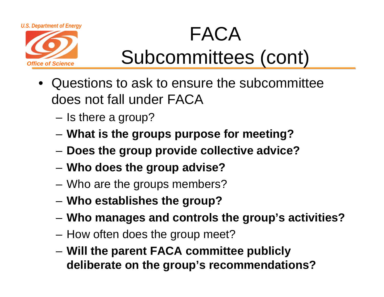

### *U.S. Department of Energy* FACA Subcommittees (cont)

- • Questions to ask to ensure the subcommittee does not fall under FACA
	- Is there a group?
	- **What is the groups purpose for meeting?**
	- **Does the group provide collective advice?**
	- **Who does the group advise?**
	- Who are the groups members?
	- **Who establishes the group?**
	- **Who manages and controls the group's activities?**
	- How often does the group meet?
	- **Will the parent FACA committee publicly deliberate on the group's recommendations?**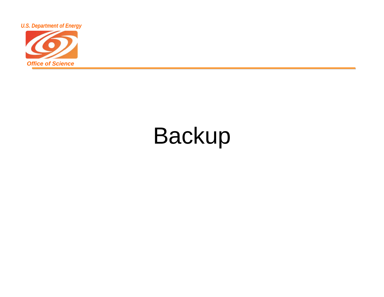

# Backup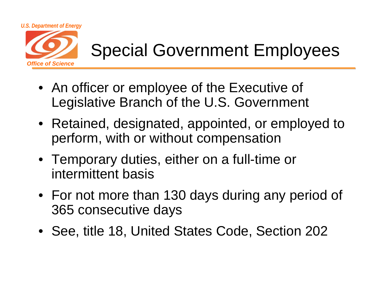

#### Special Government Employees

- An officer or employee of the Executive of Legislative Branch of the U.S. Government
- Retained, designated, appointed, or employed to perform, with or without compensation
- Temporary duties, either on a full-time or intermittent basis
- For not more than 130 days during any period of 365 consecutive days
- See, title 18, United States Code, Section 202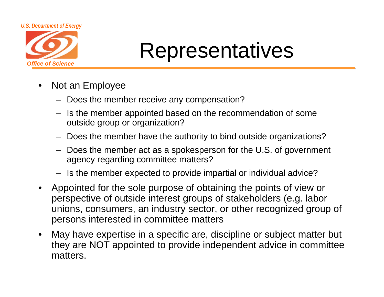

### Representatives

- $\bullet$  Not an Employee
	- Does the member receive any compensation?
	- Is the member appointed based on the recommendation of some outside group or organization?
	- Does the member have the authority to bind outside organizations?
	- Does the member act as a spokesperson for the U.S. of government agency regarding committee matters?
	- Is the member expected to provide impartial or individual advice?
- $\bullet$  Appointed for the sole purpose of obtaining the points of view or perspective of outside interest groups of stakeholders (e.g. labor unions, consumers, an industry sector, or other recognized group of persons interested in committee matters
- $\bullet$  May have expertise in a specific are, discipline or subject matter but they are NOT appointed to provide independent advice in committee matters.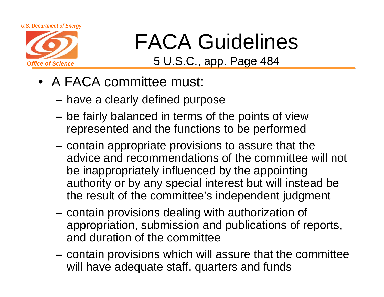

# FACA Guidelines

5 U.S.C., app. Page 484

- A FACA committee must:
	- have a clearly defined purpose
	- be fairly balanced in terms of the points of view represented and the functions to be performed
	- contain appropriate provisions to assure that the advice and recommendations of the committee will not be inappropriately influenced by the appointing authority or by any special interest but will instead be the result of the committee's independent judgment
	- contain provisions dealing with authorization of appropriation, submission and publications of reports, and duration of the committee
	- contain provisions which will assure that the committee will have adequate staff, quarters and funds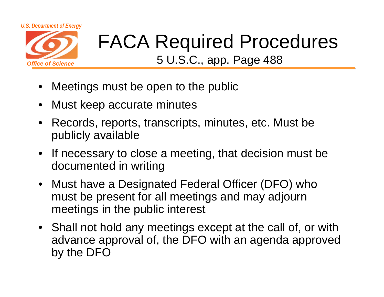

# FACA Required Procedures

5 U.S.C., app. Page 488

- •Meetings must be open to the public
- $\bullet$ Must keep accurate minutes
- • Records, reports, transcripts, minutes, etc. Must be publicly available
- If necessary to close a meeting, that decision must be documented in writing
- Must have a Designated Federal Officer (DFO) who must be present for all meetings and may adjourn meetings in the public interest
- Shall not hold any meetings except at the call of, or with advance approval of, the DFO with an agenda approved by the DFO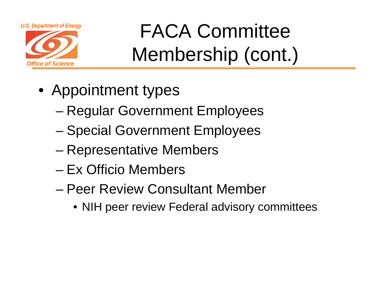



U.S. Department of Energy FACA Committee Membership (cont.)

- Appointment types
	- Regular Government Employees
	- Special Government Employees
	- –Representative Members
	- Ex Officio Members
	- Peer Review Consultant Member
		- NIH peer review Federal advisory committees